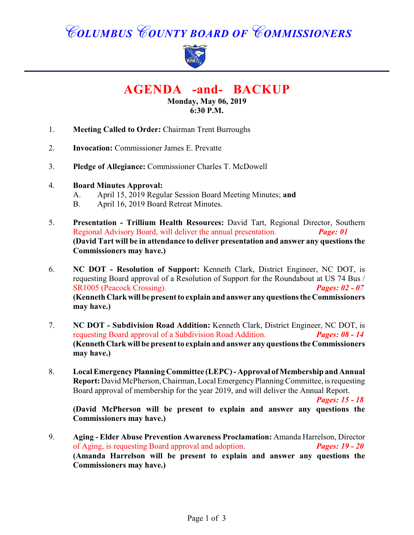# *COLUMBUS COUNTY BOARD OF COMMISSIONERS*



**AGENDA -and- BACKUP**

**Monday, May 06, 2019 6:30 P.M.**

- 1. **Meeting Called to Order:** Chairman Trent Burroughs
- 2. **Invocation:** Commissioner James E. Prevatte
- 3. **Pledge of Allegiance:** Commissioner Charles T. McDowell
- 4. **Board Minutes Approval:**
	- A. April 15, 2019 Regular Session Board Meeting Minutes; **and**
	- B. April 16, 2019 Board Retreat Minutes.
- 5. **Presentation Trillium Health Resources:** David Tart, Regional Director, Southern Regional Advisory Board, will deliver the annual presentation. *Page: 01* **(David Tart will be in attendance to deliver presentation and answer any questions the Commissioners may have.)**
- 6. **NC DOT Resolution of Support:** Kenneth Clark, District Engineer, NC DOT, is requesting Board approval of a Resolution of Support for the Roundabout at US 74 Bus / SR1005 (Peacock Crossing). *Pages: 02 - 07* **(Kenneth Clark will be present to explain and answer any questions the Commissioners may have.)**
- 7. **NC DOT Subdivision Road Addition:** Kenneth Clark, District Engineer, NC DOT, is requesting Board approval of a Subdivision Road Addition. *Pages: 08 - 14* **(Kenneth Clark will be present to explain and answer any questions the Commissioners may have.)**
- 8. **Local Emergency Planning Committee (LEPC) Approval of Membership and Annual Report:** David McPherson, Chairman, Local Emergency Planning Committee, is requesting Board approval of membership for the year 2019, and will deliver the Annual Report.

*Pages: 15 - 18*

**(David McPherson will be present to explain and answer any questions the Commissioners may have.)**

9. **Aging - Elder Abuse Prevention Awareness Proclamation:** Amanda Harrelson, Director of Aging, is requesting Board approval and adoption. *Pages: 19 - 20* of Aging, is requesting Board approval and adoption. **(Amanda Harrelson will be present to explain and answer any questions the Commissioners may have.)**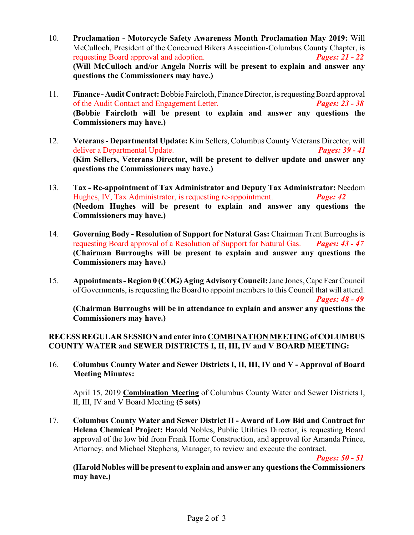- 10. **Proclamation Motorcycle Safety Awareness Month Proclamation May 2019:** Will McCulloch, President of the Concerned Bikers Association-Columbus County Chapter, is requesting Board approval and adoption. *Pages: 21 - 22* **(Will McCulloch and/or Angela Norris will be present to explain and answer any questions the Commissioners may have.)**
- 11. **Finance Audit Contract:** Bobbie Faircloth, Finance Director, is requesting Board approval of the Audit Contact and Engagement Letter. *Pages: 23 - 38* **(Bobbie Faircloth will be present to explain and answer any questions the Commissioners may have.)**
- 12. **Veterans Departmental Update:** Kim Sellers, Columbus County Veterans Director, will deliver a Departmental Update. *Pages: 39 - 41* **(Kim Sellers, Veterans Director, will be present to deliver update and answer any questions the Commissioners may have.)**
- 13. **Tax Re-appointment of Tax Administrator and Deputy Tax Administrator:** Needom Hughes, IV, Tax Administrator, is requesting re-appointment. *Page: 42*  **(Needom Hughes will be present to explain and answer any questions the Commissioners may have.)**
- 14. **Governing Body Resolution of Support for Natural Gas:** Chairman Trent Burroughs is requesting Board approval of a Resolution of Support for Natural Gas. *Pages: 43 - 47* **(Chairman Burroughs will be present to explain and answer any questions the Commissioners may have.)**
- 15. **Appointments - Region 0 (COG) Aging Advisory Council:** Jane Jones, Cape Fear Council of Governments, is requesting the Board to appoint members to this Council that will attend. *Pages: 48 - 49*

**(Chairman Burroughs will be in attendance to explain and answer any questions the Commissioners may have.)**

## **RECESS REGULAR SESSION and enter into COMBINATION MEETING of COLUMBUS COUNTY WATER and SEWER DISTRICTS I, II, III, IV and V BOARD MEETING:**

16. **Columbus County Water and Sewer Districts I, II, III, IV and V - Approval of Board Meeting Minutes:**

April 15, 2019 **Combination Meeting** of Columbus County Water and Sewer Districts I, II, III, IV and V Board Meeting **(5 sets)**

17. **Columbus County Water and Sewer District II - Award of Low Bid and Contract for Helena Chemical Project:** Harold Nobles, Public Utilities Director, is requesting Board approval of the low bid from Frank Horne Construction, and approval for Amanda Prince, Attorney, and Michael Stephens, Manager, to review and execute the contract.

*Pages: 50 - 51*

**(Harold Nobles will be present to explain and answer any questions the Commissioners may have.)**